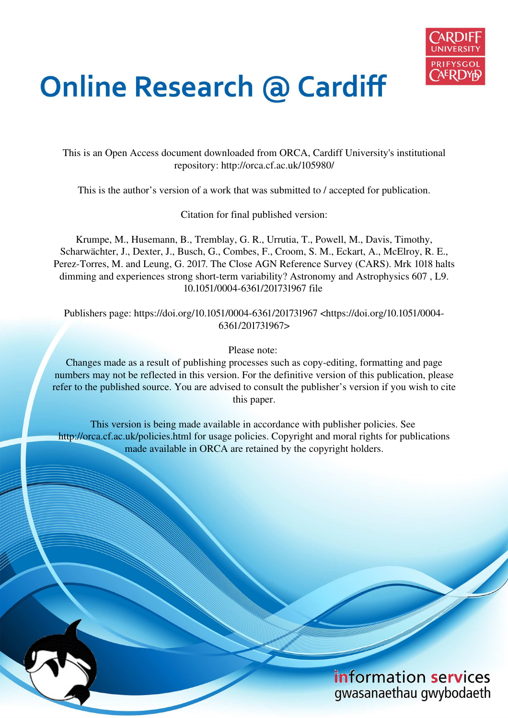

# **Online Research @ Cardiff**

This is an Open Access document downloaded from ORCA, Cardiff University's institutional repository: http://orca.cf.ac.uk/105980/

This is the author's version of a work that was submitted to / accepted for publication.

Citation for final published version:

Krumpe, M., Husemann, B., Tremblay, G. R., Urrutia, T., Powell, M., Davis, Timothy, Scharwächter, J., Dexter, J., Busch, G., Combes, F., Croom, S. M., Eckart, A., McElroy, R. E., Perez-Torres, M. and Leung, G. 2017. The Close AGN Reference Survey (CARS). Mrk 1018 halts dimming and experiences strong short-term variability? Astronomy and Astrophysics 607 , L9. 10.1051/0004-6361/201731967 file

Publishers page: https://doi.org/10.1051/0004-6361/201731967 <https://doi.org/10.1051/0004- 6361/201731967>

Please note:

Changes made as a result of publishing processes such as copy-editing, formatting and page numbers may not be reflected in this version. For the definitive version of this publication, please refer to the published source. You are advised to consult the publisher's version if you wish to cite this paper.

This version is being made available in accordance with publisher policies. See http://orca.cf.ac.uk/policies.html for usage policies. Copyright and moral rights for publications made available in ORCA are retained by the copyright holders.

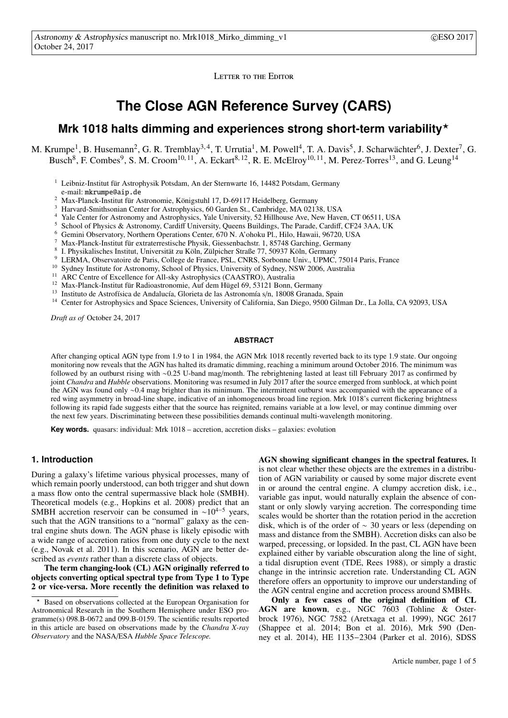LETTER TO THE EDITOR

## **The Close AGN Reference Survey (CARS)**

### Mrk 1018 halts dimming and experiences strong short-term variability<sup>\*</sup>

M. Krumpe<sup>1</sup>, B. Husemann<sup>2</sup>, G. R. Tremblay<sup>3,4</sup>, T. Urrutia<sup>1</sup>, M. Powell<sup>4</sup>, T. A. Davis<sup>5</sup>, J. Scharwächter<sup>6</sup>, J. Dexter<sup>7</sup>, G. Busch<sup>8</sup>, F. Combes<sup>9</sup>, S. M. Croom<sup>10, 11</sup>, A. Eckart<sup>8, 12</sup>, R. E. McElroy<sup>10, 11</sup>, M. Perez-Torres<sup>13</sup>, and G. Leung<sup>14</sup>

- <sup>1</sup> Leibniz-Institut für Astrophysik Potsdam, An der Sternwarte 16, 14482 Potsdam, Germany e-mail: mkrumpe@aip.de
- <sup>2</sup> Max-Planck-Institut für Astronomie, Königstuhl 17, D-69117 Heidelberg, Germany
- <sup>3</sup> Harvard-Smithsonian Center for Astrophysics, 60 Garden St., Cambridge, MA 02138, USA
- <sup>4</sup> Yale Center for Astronomy and Astrophysics, Yale University, 52 Hillhouse Ave, New Haven, CT 06511, USA
- <sup>5</sup> School of Physics & Astronomy, Cardiff University, Queens Buildings, The Parade, Cardiff, CF24 3AA, UK
- <sup>6</sup> Gemini Observatory, Northern Operations Center, 670 N. A'ohoku Pl., Hilo, Hawaii, 96720, USA
- <sup>7</sup> Max-Planck-Institut für extraterrestische Physik, Giessenbachstr. 1, 85748 Garching, Germany
- 8 I. Physikalisches Institut, Universität zu Köln, Zülpicher Straße 77, 50937 Köln, Germany
- <sup>9</sup> LERMA, Observatoire de Paris, College de France, PSL, CNRS, Sorbonne Univ., UPMC, 75014 Paris, France
- <sup>10</sup> Sydney Institute for Astronomy, School of Physics, University of Sydney, NSW 2006, Australia
- <sup>11</sup> ARC Centre of Excellence for All-sky Astrophysics (CAASTRO), Australia
- <sup>12</sup> Max-Planck-Institut für Radioastronomie, Auf dem Hügel 69, 53121 Bonn, Germany
- <sup>13</sup> Instituto de Astrofísica de Andalucía, Glorieta de las Astronomía s/n, 18008 Granada, Spain
- <sup>14</sup> Center for Astrophysics and Space Sciences, University of California, San Diego, 9500 Gilman Dr., La Jolla, CA 92093, USA

*Draft as of* October 24, 2017

#### **ABSTRACT**

After changing optical AGN type from 1.9 to 1 in 1984, the AGN Mrk 1018 recently reverted back to its type 1.9 state. Our ongoing monitoring now reveals that the AGN has halted its dramatic dimming, reaching a minimum around October 2016. The minimum was followed by an outburst rising with ∼0.25 U-band mag/month. The rebrightening lasted at least till February 2017 as confirmed by joint *Chandra* and *Hubble* observations. Monitoring was resumed in July 2017 after the source emerged from sunblock, at which point the AGN was found only ∼0.4 mag brighter than its minimum. The intermittent outburst was accompanied with the appearance of a red wing asymmetry in broad-line shape, indicative of an inhomogeneous broad line region. Mrk 1018's current flickering brightness following its rapid fade suggests either that the source has reignited, remains variable at a low level, or may continue dimming over the next few years. Discriminating between these possibilities demands continual multi-wavelength monitoring.

**Key words.** quasars: individual: Mrk 1018 – accretion, accretion disks – galaxies: evolution

#### **1. Introduction**

During a galaxy's lifetime various physical processes, many of which remain poorly understood, can both trigger and shut down a mass flow onto the central supermassive black hole (SMBH). Theoretical models (e.g., Hopkins et al. 2008) predict that an SMBH accretion reservoir can be consumed in ~10<sup>4–5</sup> years, such that the AGN transitions to a "normal" galaxy as the central engine shuts down. The AGN phase is likely episodic with a wide range of accretion ratios from one duty cycle to the next (e.g., Novak et al. 2011). In this scenario, AGN are better described as *events* rather than a discrete class of objects.

The term changing-look (CL) AGN originally referred to objects converting optical spectral type from Type 1 to Type 2 or vice-versa. More recently the definition was relaxed to AGN showing significant changes in the spectral features. It is not clear whether these objects are the extremes in a distribution of AGN variability or caused by some major discrete event in or around the central engine. A clumpy accretion disk, i.e., variable gas input, would naturally explain the absence of constant or only slowly varying accretion. The corresponding time scales would be shorter than the rotation period in the accretion disk, which is of the order of ∼ 30 years or less (depending on mass and distance from the SMBH). Accretion disks can also be warped, precessing, or lopsided. In the past, CL AGN have been explained either by variable obscuration along the line of sight, a tidal disruption event (TDE, Rees 1988), or simply a drastic change in the intrinsic accretion rate. Understanding CL AGN therefore offers an opportunity to improve our understanding of the AGN central engine and accretion process around SMBHs.

Only a few cases of the original definition of CL AGN are known, e.g., NGC 7603 (Tohline & Osterbrock 1976), NGC 7582 (Aretxaga et al. 1999), NGC 2617 (Shappee et al. 2014; Bon et al. 2016), Mrk 590 (Denney et al. 2014), HE 1135−2304 (Parker et al. 2016), SDSS

Based on observations collected at the European Organisation for Astronomical Research in the Southern Hemisphere under ESO programme(s) 098.B-0672 and 099.B-0159. The scientific results reported in this article are based on observations made by the *Chandra X-ray Observatory* and the NASA/ESA *Hubble Space Telescope.*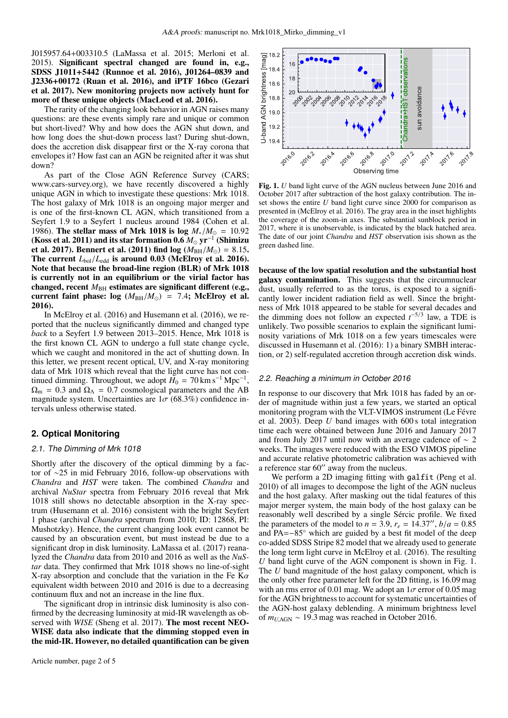J015957.64+003310.5 (LaMassa et al. 2015; Merloni et al. 2015). Significant spectral changed are found in, e.g., SDSS J1011+5442 (Runnoe et al. 2016), J01264–0839 and J2336+00172 (Ruan et al. 2016), and iPTF 16bco (Gezari et al. 2017). New monitoring projects now actively hunt for more of these unique objects (MacLeod et al. 2016).

The rarity of the changing look behavior in AGN raises many questions: are these events simply rare and unique or common but short-lived? Why and how does the AGN shut down, and how long does the shut-down process last? During shut-down, does the accretion disk disappear first or the X-ray corona that envelopes it? How fast can an AGN be reignited after it was shut down?

As part of the Close AGN Reference Survey (CARS; www.cars-survey.org), we have recently discovered a highly unique AGN in which to investigate these questions: Mrk 1018. The host galaxy of Mrk 1018 is an ongoing major merger and is one of the first-known CL AGN, which transitioned from a Seyfert 1.9 to a Seyfert 1 nucleus around 1984 (Cohen et al. 1986). The stellar mass of Mrk 1018 is log  $M_*/M_{\odot} = 10.92$ (Koss et al. 2011) and its star formation 0.6 *M*<sup>⊙</sup> yr−<sup>1</sup> (Shimizu et al. 2017). Bennert et al. (2011) find  $log (M_{BH}/M_{\odot}) = 8.15$ . The current  $L_{bol}/L_{edd}$  is around 0.03 (McElroy et al. 2016). Note that because the broad-line region (BLR) of Mrk 1018 is currently not in an equilibrium or the virial factor has changed, recent  $M_{\text{BH}}$  estimates are significant different (e.g., current faint phase: log  $(M_{BH}/M_{\odot}) = 7.4$ ; McElroy et al. 2016).

In McElroy et al. (2016) and Husemann et al. (2016), we reported that the nucleus significantly dimmed and changed type *back* to a Seyfert 1.9 between 2013–2015. Hence, Mrk 1018 is the first known CL AGN to undergo a full state change cycle, which we caught and monitored in the act of shutting down. In this letter, we present recent optical, UV, and X-ray monitoring data of Mrk 1018 which reveal that the light curve has not continued dimming. Throughout, we adopt  $H_0 = 70 \text{ km s}^{-1} \text{ Mpc}^{-1}$ ,  $\Omega_{\rm m}$  = 0.3 and  $\Omega_{\Lambda}$  = 0.7 cosmological parameters and the AB magnitude system. Uncertainties are  $1\sigma$  (68.3%) confidence intervals unless otherwise stated.

#### **2. Optical Monitoring**

#### 2.1. The Dimming of Mrk 1018

Shortly after the discovery of the optical dimming by a factor of ∼25 in mid February 2016, follow-up observations with *Chandra* and *HST* were taken. The combined *Chandra* and archival *NuStar* spectra from February 2016 reveal that Mrk 1018 still shows no detectable absorption in the X-ray spectrum (Husemann et al. 2016) consistent with the bright Seyfert 1 phase (archival *Chandra* spectrum from 2010; ID: 12868, PI: Mushotzky). Hence, the current changing look event cannot be caused by an obscuration event, but must instead be due to a significant drop in disk luminosity. LaMassa et al. (2017) reanalyzed the *Chandra* data from 2010 and 2016 as well as the *NuStar* data. They confirmed that Mrk 1018 shows no line-of-sight X-ray absorption and conclude that the variation in the Fe K $\alpha$ equivalent width between 2010 and 2016 is due to a decreasing continuum flux and not an increase in the line flux.

The significant drop in intrinsic disk luminosity is also confirmed by the decreasing luminosity at mid-IR wavelength as observed with *WISE* (Sheng et al. 2017). The most recent NEO-WISE data also indicate that the dimming stopped even in the mid-IR. However, no detailed quantification can be given



Fig. 1. *U* band light curve of the AGN nucleus between June 2016 and October 2017 after subtraction of the host galaxy contribution. The inset shows the entire *U* band light curve since 2000 for comparison as presented in (McElroy et al. 2016). The gray area in the inset highlights the coverage of the zoom-in axes. The substantial sunblock period in 2017, where it is unobservable, is indicated by the black hatched area. The date of our joint *Chandra* and *HST* observation isis shown as the green dashed line.

because of the low spatial resolution and the substantial host galaxy contamination. This suggests that the circumnuclear dust, usually referred to as the torus, is exposed to a significantly lower incident radiation field as well. Since the brightness of Mrk 1018 appeared to be stable for several decades and the dimming does not follow an expected  $t^{-5/3}$  law, a TDE is unlikely. Two possible scenarios to explain the significant luminosity variations of Mrk 1018 on a few years timescales were discussed in Husemann et al. (2016): 1) a binary SMBH interaction, or 2) self-regulated accretion through accretion disk winds.

#### 2.2. Reaching <sup>a</sup> minimum in October 2016

In response to our discovery that Mrk 1018 has faded by an order of magnitude within just a few years, we started an optical monitoring program with the VLT-VIMOS instrument (Le Févre et al. 2003). Deep *U* band images with 600 s total integration time each were obtained between June 2016 and January 2017 and from July 2017 until now with an average cadence of ∼ 2 weeks. The images were reduced with the ESO VIMOS pipeline and accurate relative photometric calibration was achieved with a reference star 60′′ away from the nucleus.

We perform a 2D imaging fitting with galfit (Peng et al. 2010) of all images to decompose the light of the AGN nucleus and the host galaxy. After masking out the tidal features of this major merger system, the main body of the host galaxy can be reasonably well described by a single Sércic profile. We fixed the parameters of the model to  $n = 3.9$ ,  $r_e = 14.37''$ ,  $b/a = 0.85$ and PA=−85◦ which are guided by a best fit model of the deep co-added SDSS Stripe 82 model that we already used to generate the long term light curve in McElroy et al. (2016). The resulting *U* band light curve of the AGN component is shown in Fig. 1. The *U* band magnitude of the host galaxy component, which is the only other free parameter left for the 2D fitting, is 16.09 mag with an rms error of 0.01 mag. We adopt an  $1\sigma$  error of 0.05 mag for the AGN brightness to account for systematic uncertainties of the AGN-host galaxy deblending. A minimum brightness level of  $m_{U,AGN} \sim 19.3$  mag was reached in October 2016.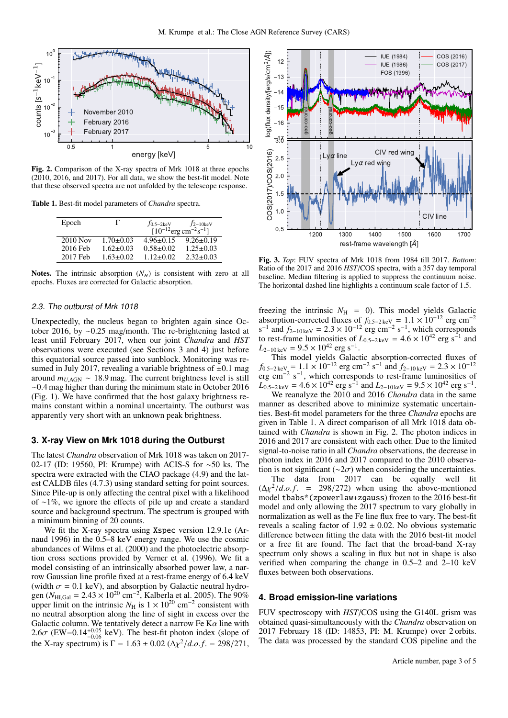

Fig. 2. Comparison of the X-ray spectra of Mrk 1018 at three epochs (2010, 2016, and 2017). For all data, we show the best-fit model. Note that these observed spectra are not unfolded by the telescope response.

Table 1. Best-fit model parameters of *Chandra* spectra.

| Epoch                 |                 | $f_{0.5-2keV}$                                     | $f_{2-10keV}$   |
|-----------------------|-----------------|----------------------------------------------------|-----------------|
|                       |                 | $[10^{-12}$ erg cm <sup>-2</sup> s <sup>-1</sup> ] |                 |
| $\overline{2010}$ Nov | $1.70 \pm 0.03$ | $4.96 \pm 0.15$                                    | $9.26 \pm 0.19$ |
| 2016 Feb              | $1.62 \pm 0.03$ | $0.58 \pm 0.02$                                    | $1.25 \pm 0.03$ |
| 2017 Feb              | $1.63 \pm 0.02$ | $1.12 \pm 0.02$                                    | $2.32 \pm 0.03$ |

Notes. The intrinsic absorption  $(N_H)$  is consistent with zero at all epochs. Fluxes are corrected for Galactic absorption.

#### 2.3. The outburst of Mrk 1018

Unexpectedly, the nucleus began to brighten again since October 2016, by ∼0.25 mag/month. The re-brightening lasted at least until February 2017, when our joint *Chandra* and *HST* observations were executed (see Sections 3 and 4) just before this equatorial source passed into sunblock. Monitoring was resumed in July 2017, revealing a variable brightness of  $\pm 0.1$  mag around  $m_{U,AGN} \sim 18.9$  mag. The current brightness level is still ∼0.4 mag higher than during the minimum state in October 2016 (Fig. 1). We have confirmed that the host galaxy brightness remains constant within a nominal uncertainty. The outburst was apparently very short with an unknown peak brightness.

#### **3. X-ray View on Mrk 1018 during the Outburst**

The latest *Chandra* observation of Mrk 1018 was taken on 2017- 02-17 (ID: 19560, PI: Krumpe) with ACIS-S for ∼50 ks. The spectra were extracted with the CIAO package (4.9) and the latest CALDB files (4.7.3) using standard setting for point sources. Since Pile-up is only affecting the central pixel with a likelihood of ∼1%, we ignore the effects of pile up and create a standard source and background spectrum. The spectrum is grouped with a minimum binning of 20 counts.

We fit the X-ray spectra using Xspec version 12.9.1e (Arnaud 1996) in the 0.5–8 keV energy range. We use the cosmic abundances of Wilms et al. (2000) and the photoelectric absorption cross sections provided by Verner et al. (1996). We fit a model consisting of an intrinsically absorbed power law, a narrow Gaussian line profile fixed at a rest-frame energy of 6.4 keV (width  $\sigma = 0.1$  keV), and absorption by Galactic neutral hydrogen ( $N_{\text{HI,Gal}} = 2.43 \times 10^{20} \text{ cm}^{-2}$ , Kalberla et al. 2005). The 90% upper limit on the intrinsic  $N_H$  is  $1 \times 10^{20}$  cm<sup>-2</sup> consistent with no neutral absorption along the line of sight in excess over the Galactic column. We tentatively detect a narrow Fe K $\alpha$  line with  $2.6\sigma$  (EW=0.14<sup>+0.05</sup> keV). The best-fit photon index (slope of the X-ray spectrum) is  $\Gamma = 1.63 \pm 0.02 \left( \frac{\Delta \chi^2}{d.o.f.} \right) = 298/271$ ,



Fig. 3. *Top*: FUV spectra of Mrk 1018 from 1984 till 2017. *Bottom*: Ratio of the 2017 and 2016 *HST*/COS spectra, with a 357 day temporal baseline. Median filtering is applied to suppress the continuum noise. The horizontal dashed line highlights a continuum scale factor of 1.5.

freezing the intrinsic  $N_{\text{H}}$  = 0). This model yields Galactic absorption-corrected fluxes of  $f_{0.5-2\text{keV}} = 1.1 \times 10^{-12} \text{ erg cm}^{-2}$  $s^{-1}$  and  $f_{2-10 \text{ keV}} = 2.3 \times 10^{-12}$  erg cm<sup>-2</sup> s<sup>-1</sup>, which corresponds to rest-frame luminosities of  $L_{0.5-2\text{keV}} = 4.6 \times 10^{42} \text{ erg s}^{-1}$  and  $L_{2-10 \text{ keV}} = 9.5 \times 10^{42} \text{ erg s}^{-1}.$ 

This model yields Galactic absorption-corrected fluxes of  $f_{0.5-2\text{ keV}} = 1.1 \times 10^{-12} \text{ erg cm}^{-2} \text{ s}^{-1} \text{ and } f_{2-10\text{ keV}} = 2.3 \times 10^{-12}$ erg cm<sup>-2</sup> s<sup>-1</sup>, which corresponds to rest-frame luminosities of  $L_{0.5-2 \text{ keV}} = 4.6 \times 10^{42} \text{ erg s}^{-1}$  and  $L_{2-10 \text{ keV}} = 9.5 \times 10^{42} \text{ erg s}^{-1}$ .

We reanalyze the 2010 and 2016 *Chandra* data in the same manner as described above to minimize systematic uncertainties. Best-fit model parameters for the three *Chandra* epochs are given in Table 1. A direct comparison of all Mrk 1018 data obtained with *Chandra* is shown in Fig. 2. The photon indices in 2016 and 2017 are consistent with each other. Due to the limited signal-to-noise ratio in all *Chandra* observations, the decrease in photon index in 2016 and 2017 compared to the 2010 observation is not significant ( $\sim$ 2 $\sigma$ ) when considering the uncertainties.

The data from 2017 can be equally well fit  $(\Delta \chi^2 / d.o.f.$  = 298/272) when using the above-mentioned model tbabs\*(zpowerlaw+zgauss) frozen to the 2016 best-fit model and only allowing the 2017 spectrum to vary globally in normalization as well as the Fe line flux free to vary. The best-fit reveals a scaling factor of  $1.92 \pm 0.02$ . No obvious systematic difference between fitting the data with the 2016 best-fit model or a free fit are found. The fact that the broad-band X-ray spectrum only shows a scaling in flux but not in shape is also verified when comparing the change in 0.5–2 and 2–10 keV fluxes between both observations.

#### **4. Broad emission-line variations**

FUV spectroscopy with *HST*/COS using the G140L grism was obtained quasi-simultaneously with the *Chandra* observation on 2017 February 18 (ID: 14853, PI: M. Krumpe) over 2 orbits. The data was processed by the standard COS pipeline and the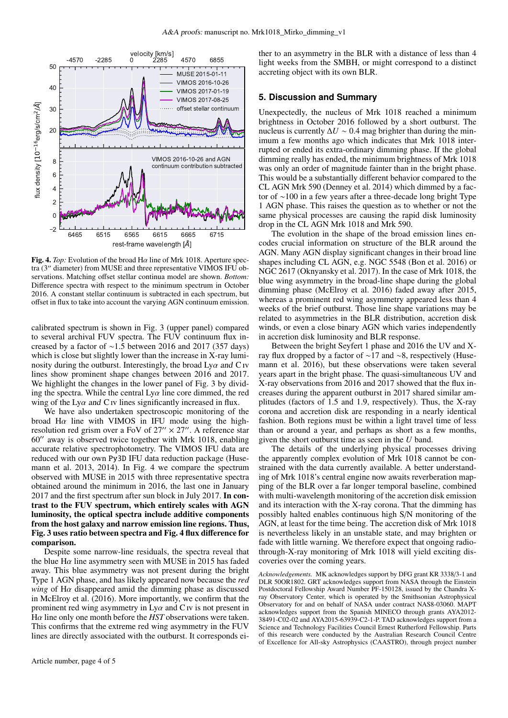

Fig. 4. *Top*: Evolution of the broad H $\alpha$  line of Mrk 1018. Aperture spectra (3′′ diameter) from MUSE and three representative VIMOS IFU observations. Matching offset stellar continua model are shown. *Bottom:* Difference spectra with respect to the minimum spectrum in October 2016. A constant stellar continuum is subtracted in each spectrum, but offset in flux to take into account the varying AGN continuum emission.

calibrated spectrum is shown in Fig. 3 (upper panel) compared to several archival FUV spectra. The FUV continuum flux increased by a factor of ∼1.5 between 2016 and 2017 (357 days) which is close but slightly lower than the increase in X-ray luminosity during the outburst. Interestingly, the broad  $Ly\alpha$  and C iv lines show prominent shape changes between 2016 and 2017. We highlight the changes in the lower panel of Fig. 3 by dividing the spectra. While the central  $Ly\alpha$  line core dimmed, the red wing of the Ly $\alpha$  and C iv lines significantly increased in flux.

We have also undertaken spectroscopic monitoring of the broad H $\alpha$  line with VIMOS in IFU mode using the highresolution red grism over a FoV of  $27'' \times 27''$ . A reference star 60′′ away is observed twice together with Mrk 1018, enabling accurate relative spectrophotometry. The VIMOS IFU data are reduced with our own Py3D IFU data reduction package (Husemann et al. 2013, 2014). In Fig. 4 we compare the spectrum observed with MUSE in 2015 with three representative spectra obtained around the minimum in 2016, the last one in January 2017 and the first spectrum after sun block in July 2017. In contrast to the FUV spectrum, which entirely scales with AGN luminosity, the optical spectra include additive components from the host galaxy and narrow emission line regions. Thus, Fig. 3 uses ratio between spectra and Fig. 4 flux difference for comparison.

Despite some narrow-line residuals, the spectra reveal that the blue  $H\alpha$  line asymmetry seen with MUSE in 2015 has faded away. This blue asymmetry was not present during the bright Type 1 AGN phase, and has likely appeared now because the *red wing* of  $H\alpha$  disappeared amid the dimming phase as discussed in McElroy et al. (2016). More importantly, we confirm that the prominent red wing asymmetry in  $Ly\alpha$  and C iv is not present in Hα line only one month before the *HST* observations were taken. This confirms that the extreme red wing asymmetry in the FUV lines are directly associated with the outburst. It corresponds ei-

ther to an asymmetry in the BLR with a distance of less than 4 light weeks from the SMBH, or might correspond to a distinct accreting object with its own BLR.

#### **5. Discussion and Summary**

Unexpectedly, the nucleus of Mrk 1018 reached a minimum brightness in October 2016 followed by a short outburst. The nucleus is currently  $\Delta U \sim 0.4$  mag brighter than during the minimum a few months ago which indicates that Mrk 1018 interrupted or ended its extra-ordinary dimming phase. If the global dimming really has ended, the minimum brightness of Mrk 1018 was only an order of magnitude fainter than in the bright phase. This would be a substantially different behavior compared to the CL AGN Mrk 590 (Denney et al. 2014) which dimmed by a factor of ∼100 in a few years after a three-decade long bright Type 1 AGN phase. This raises the question as to whether or not the same physical processes are causing the rapid disk luminosity drop in the CL AGN Mrk 1018 and Mrk 590.

The evolution in the shape of the broad emission lines encodes crucial information on structure of the BLR around the AGN. Many AGN display significant changes in their broad line shapes including CL AGN, e.g. NGC 5548 (Bon et al. 2016) or NGC 2617 (Oknyansky et al. 2017). In the case of Mrk 1018, the blue wing asymmetry in the broad-line shape during the global dimming phase (McElroy et al. 2016) faded away after 2015, whereas a prominent red wing asymmetry appeared less than 4 weeks of the brief outburst. Those line shape variations may be related to asymmetries in the BLR distribution, accretion disk winds, or even a close binary AGN which varies independently in accretion disk luminosity and BLR response.

Between the bright Seyfert 1 phase and 2016 the UV and Xray flux dropped by a factor of ∼17 and ∼8, respectively (Husemann et al. 2016), but these observations were taken several years apart in the bright phase. The quasi-simultaneous UV and X-ray observations from 2016 and 2017 showed that the flux increases during the apparent outburst in 2017 shared similar amplitudes (factors of 1.5 and 1.9, respectively). Thus, the X-ray corona and accretion disk are responding in a nearly identical fashion. Both regions must be within a light travel time of less than or around a year, and perhaps as short as a few months, given the short outburst time as seen in the *U* band.

The details of the underlying physical processes driving the apparently complex evolution of Mrk 1018 cannot be constrained with the data currently available. A better understanding of Mrk 1018's central engine now awaits reverberation mapping of the BLR over a far longer temporal baseline, combined with multi-wavelength monitoring of the accretion disk emission and its interaction with the X-ray corona. That the dimming has possibly halted enables continuous high S/N monitoring of the AGN, at least for the time being. The accretion disk of Mrk 1018 is nevertheless likely in an unstable state, and may brighten or fade with little warning. We therefore expect that ongoing radiothrough-X-ray monitoring of Mrk 1018 will yield exciting discoveries over the coming years.

*Acknowledgements.* MK acknowledges support by DFG grant KR 3338/3-1 and DLR 50OR1802. GRT acknowledges support from NASA through the Einstein Postdoctoral Fellowship Award Number PF-150128, issued by the Chandra Xray Observatory Center, which is operated by the Smithsonian Astrophysical Observatory for and on behalf of NASA under contract NAS8-03060. MAPT acknowledges support from the Spanish MINECO through grants AYA2012- 38491-C02-02 and AYA2015-63939-C2-1-P. TAD acknowledges support from a Science and Technology Facilities Council Ernest Rutherford Fellowship. Parts of this research were conducted by the Australian Research Council Centre of Excellence for All-sky Astrophysics (CAASTRO), through project number